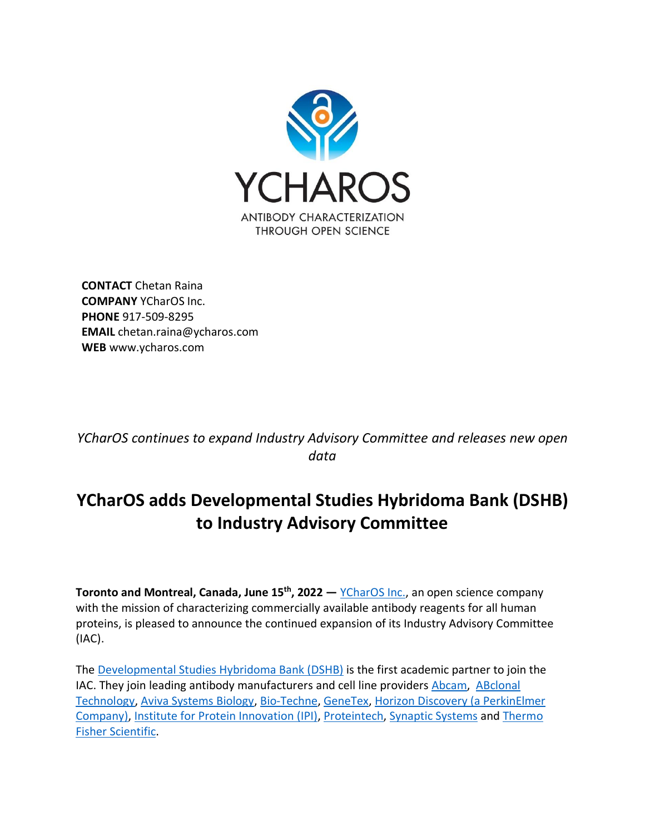

**CONTACT** Chetan Raina **COMPANY** YCharOS Inc. **PHONE** 917-509-8295 **EMAIL** chetan.raina@ycharos.com **WEB** www.ycharos.com

*YCharOS continues to expand Industry Advisory Committee and releases new open data*

## **YCharOS adds Developmental Studies Hybridoma Bank (DSHB) to Industry Advisory Committee**

**Toronto and Montreal, Canada, June 15th , 2022 —** [YCharOS Inc.,](http://www.ycharos.com/) an open science company with the mission of characterizing commercially available antibody reagents for all human proteins, is pleased to announce the continued expansion of its Industry Advisory Committee (IAC).

The [Developmental Studies Hybridoma Bank \(DSHB\)](https://dshb.biology.uiowa.edu/) is the first academic partner to join the IAC. They join leading antibody manufacturers and cell line providers [Abcam,](http://www.abcamplc.com/) [ABclonal](https://abclonal.com/) [Technology,](https://abclonal.com/) [Aviva Systems Biology,](http://www.avivasysbio.com/) [Bio-Techne,](https://www.bio-techne.com/) [GeneTex,](https://www.genetex.com/) [Horizon Discovery \(a PerkinElmer](https://horizondiscovery.com/)  [Company\),](https://horizondiscovery.com/) [Institute for Protein Innovation \(IPI\),](https://proteininnovation.org/) [Proteintech,](https://www.ptglab.com/) [Synaptic Systems](http://www.sysy.com/) and [Thermo](https://www.thermofisher.com/)  [Fisher Scientific.](https://www.thermofisher.com/)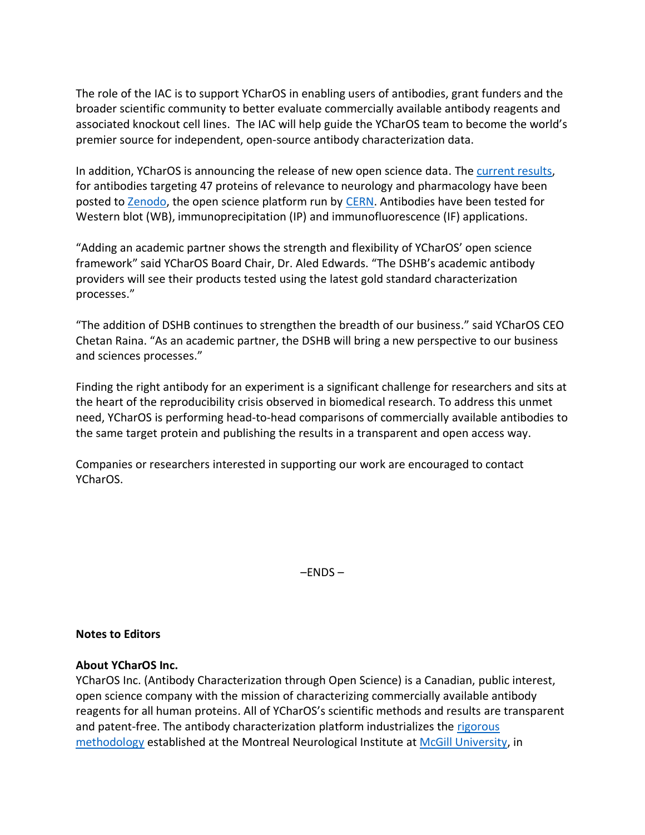The role of the IAC is to support YCharOS in enabling users of antibodies, grant funders and the broader scientific community to better evaluate commercially available antibody reagents and associated knockout cell lines. The IAC will help guide the YCharOS team to become the world's premier source for independent, open-source antibody characterization data.

In addition, YCharOS is announcing the release of new open science data. The [current results,](https://zenodo.org/communities/ycharos/?page=1&size=20) for antibodies targeting 47 proteins of relevance to neurology and pharmacology have been posted to [Zenodo,](https://zenodo.org/communities/ycharos/?page=1&size=20) the open science platform run by [CERN.](https://home.cern/) Antibodies have been tested for Western blot (WB), immunoprecipitation (IP) and immunofluorescence (IF) applications.

"Adding an academic partner shows the strength and flexibility of YCharOS' open science framework" said YCharOS Board Chair, Dr. Aled Edwards. "The DSHB's academic antibody providers will see their products tested using the latest gold standard characterization processes."

"The addition of DSHB continues to strengthen the breadth of our business." said YCharOS CEO Chetan Raina. "As an academic partner, the DSHB will bring a new perspective to our business and sciences processes."

Finding the right antibody for an experiment is a significant challenge for researchers and sits at the heart of the reproducibility crisis observed in biomedical research. To address this unmet need, YCharOS is performing head-to-head comparisons of commercially available antibodies to the same target protein and publishing the results in a transparent and open access way.

Companies or researchers interested in supporting our work are encouraged to contact YCharOS.

 $-$ ENDS  $-$ 

## **Notes to Editors**

## **About YCharOS Inc.**

YCharOS Inc. (Antibody Characterization through Open Science) is a Canadian, public interest, open science company with the mission of characterizing commercially available antibody reagents for all human proteins. All of YCharOS's scientific methods and results are transparent and patent-free. The antibody characterization platform industrializes the [rigorous](https://elifesciences.org/articles/48363)  [methodology](https://elifesciences.org/articles/48363) established at the Montreal Neurological Institute at [McGill University,](http://www.mcgill.ca/) in